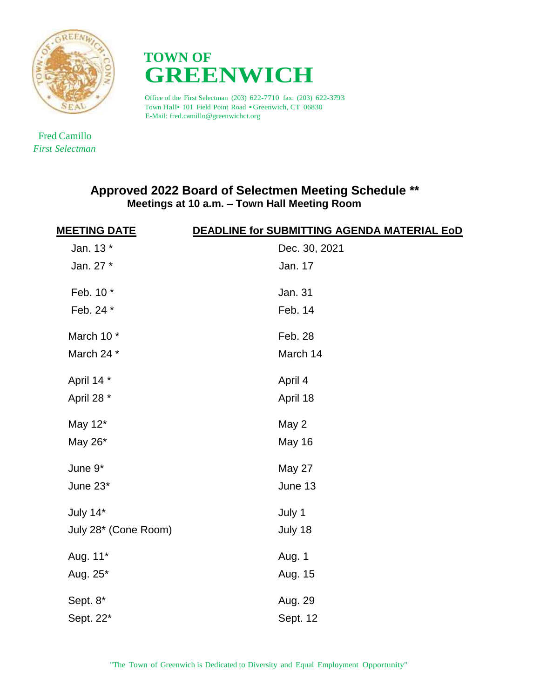



Office of the First Selectman (203) 622-7710 fax: (203) 622-3793 Town Hall• <sup>101</sup> Field Point Road •Greenwich, CT 06830 E-Mail: fred.camillo@greenwichct.org

 Fred Camillo *First Selectman*

## **Approved 2022 Board of Selectmen Meeting Schedule \*\* Meetings at 10 a.m. – Town Hall Meeting Room**

| <b>MEETING DATE</b>  | DEADLINE for SUBMITTING AGENDA MATERIAL EoD |
|----------------------|---------------------------------------------|
| Jan. 13 *            | Dec. 30, 2021                               |
| Jan. 27 *            | Jan. 17                                     |
| Feb. 10 *            | Jan. 31                                     |
| Feb. 24 *            | Feb. 14                                     |
| March 10 *           | Feb. 28                                     |
| March 24 *           | March 14                                    |
| April 14 *           | April 4                                     |
| April 28 *           | April 18                                    |
| May 12*              | May 2                                       |
| May 26*              | May 16                                      |
| June 9*              | May 27                                      |
| June 23*             | June 13                                     |
| July 14*             | July 1                                      |
| July 28* (Cone Room) | July 18                                     |
| Aug. 11*             | Aug. 1                                      |
| Aug. 25*             | Aug. 15                                     |
| Sept. 8*             | Aug. 29                                     |
| Sept. 22*            | Sept. 12                                    |